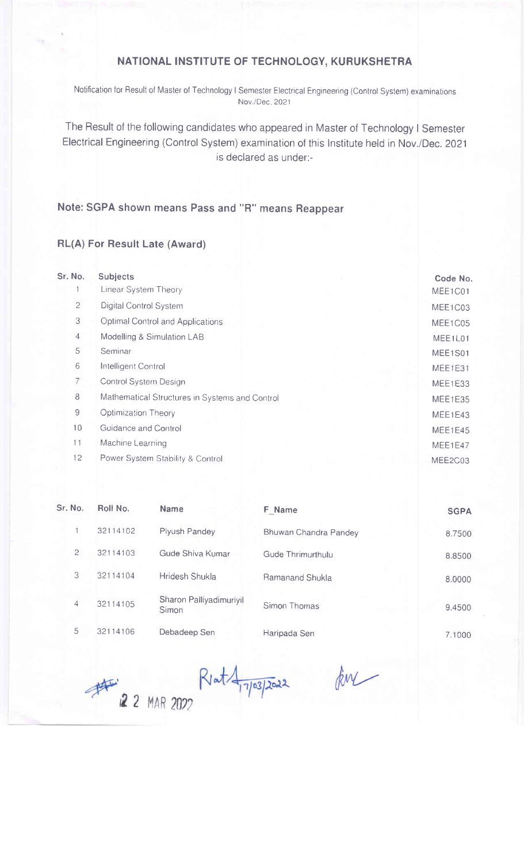## NATIONAL INSTITUTE OF TECHNOLOGY, KURUKSHETRA

Notification for Result of Master of Technology I Semester Electrical Engineering (Control System) examinations Nov./Dec 2021

The Result of the following candidates who appeared in Master of Technology I Semester Electrical Engineering (Control System) examination of this lnstitute held in Nov./Dec. 2021 is declared as under:-

## Note: SGPA shown means Pass and "R" means Reappear

## RL(A) For Result Late (Award)

| Sr. No.        | <b>Subjects</b>                                | Code No. |  |  |
|----------------|------------------------------------------------|----------|--|--|
|                | Linear System Theory                           | MEE1C01  |  |  |
| $\overline{c}$ | Digital Control System                         | MEE1C03  |  |  |
| 3              | Optimal Control and Applications               |          |  |  |
| $\overline{4}$ | Modelling & Simulation LAB                     |          |  |  |
| 5              | Seminar                                        | MEE1S01  |  |  |
| 6              | Intelligent Control                            |          |  |  |
| 7              | Control System Design                          |          |  |  |
| 8              | Mathematical Structures in Systems and Control |          |  |  |
| $\overline{9}$ | Optimization Theory                            | MEE1E43  |  |  |
| 10             | Guidance and Control                           | MEE1E45  |  |  |
| 11             | Machine Learning                               | MEE1E47  |  |  |
| 12             | Power System Stability & Control               | MEE2C03  |  |  |
|                |                                                |          |  |  |

| Sr. No.        | Roll No. | <b>Name</b>                      | F Name                | <b>SGPA</b> |
|----------------|----------|----------------------------------|-----------------------|-------------|
|                | 32114102 | Piyush Pandey                    | Bhuwan Chandra Pandey | 8.7500      |
| $\overline{c}$ | 32114103 | Gude Shiva Kumar                 | Gude Thrimurthulu     | 8.8500      |
| 3              | 32114104 | Hridesh Shukla                   | Ramanand Shukla       | 8.0000      |
| $\overline{4}$ | 32114105 | Sharon Palliyadimuriyil<br>Simon | Simon Thomas          | 9.4500      |
| 5              | 32114106 | Debadeep Sen                     | Haripada Sen          | 7.1000      |

Rent 27 MAR 2022

ku